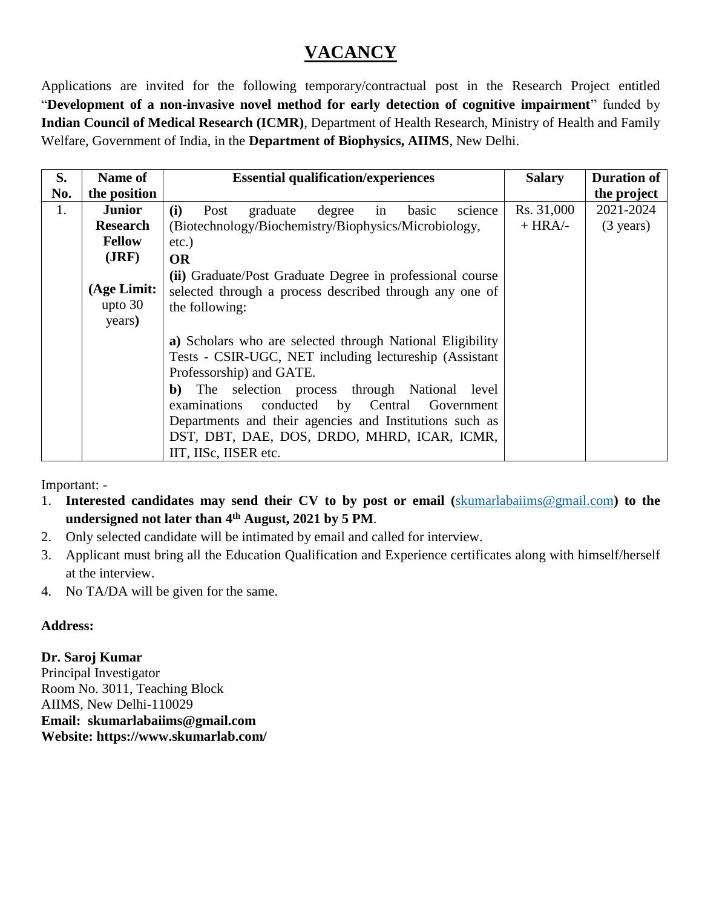## **VACANCY**

Applications are invited for the following temporary/contractual post in the Research Project entitled "**Development of a non-invasive novel method for early detection of cognitive impairment**" funded by **Indian Council of Medical Research (ICMR)**, Department of Health Research, Ministry of Health and Family Welfare, Government of India, in the **Department of Biophysics, AIIMS**, New Delhi.

| S.  | Name of                            | <b>Essential qualification/experiences</b>                                                                                                                                                                                                                                                                                                                                                       | <b>Salary</b> | <b>Duration of</b>  |
|-----|------------------------------------|--------------------------------------------------------------------------------------------------------------------------------------------------------------------------------------------------------------------------------------------------------------------------------------------------------------------------------------------------------------------------------------------------|---------------|---------------------|
| No. | the position                       |                                                                                                                                                                                                                                                                                                                                                                                                  |               | the project         |
| 1.  | <b>Junior</b>                      | (i)<br>graduate<br>degree<br>science<br>Post<br>basic<br>in                                                                                                                                                                                                                                                                                                                                      | Rs. 31,000    | 2021-2024           |
|     | <b>Research</b>                    | (Biotechnology/Biochemistry/Biophysics/Microbiology,                                                                                                                                                                                                                                                                                                                                             | $+ HRA$ -     | $(3 \text{ years})$ |
|     | <b>Fellow</b>                      | $etc.$ )                                                                                                                                                                                                                                                                                                                                                                                         |               |                     |
|     | (JRF)                              | <b>OR</b>                                                                                                                                                                                                                                                                                                                                                                                        |               |                     |
|     | (Age Limit:<br>upto $30$<br>years) | (ii) Graduate/Post Graduate Degree in professional course<br>selected through a process described through any one of<br>the following:                                                                                                                                                                                                                                                           |               |                     |
|     |                                    | a) Scholars who are selected through National Eligibility<br>Tests - CSIR-UGC, NET including lectureship (Assistant<br>Professorship) and GATE.<br><b>b</b> ) The selection process through National level<br>conducted by Central Government<br>examinations<br>Departments and their agencies and Institutions such as<br>DST, DBT, DAE, DOS, DRDO, MHRD, ICAR, ICMR,<br>IIT, IISc, IISER etc. |               |                     |

Important: -

- 1. **Interested candidates may send their CV to by post or email (**[skumarlabaiims@gmail.com](mailto:skumarlabaiims@gmail.com)**) to the undersigned not later than 4 th August, 2021 by 5 PM**.
- 2. Only selected candidate will be intimated by email and called for interview.
- 3. Applicant must bring all the Education Qualification and Experience certificates along with himself/herself at the interview.
- 4. No TA/DA will be given for the same.

## **Address:**

**Dr. Saroj Kumar**

Principal Investigator Room No. 3011, Teaching Block AIIMS, New Delhi-110029 **Email: skumarlabaiims@gmail.com Website: https://www.skumarlab.com/**